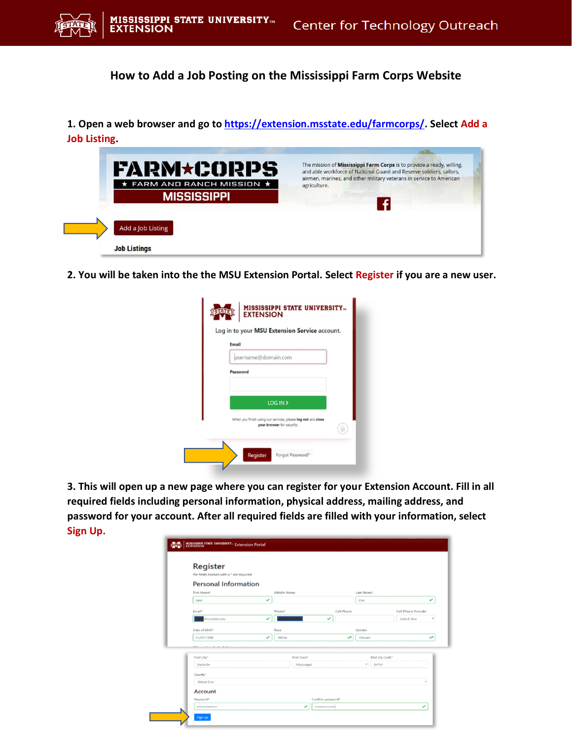

**How to Add a Job Posting on the Mississippi Farm Corps Website** 

**1. Open a web browser and go to [https://extension.msstate.edu/farmcorps/.](https://extension.msstate.edu/farmcorps/) Select Add a Job Listing.**

| <b>FARM*CORPS</b>                      | The mission of Mississippi Farm Corps is to provide a ready, willing,<br>and able workforce of National Guard and Reserve soldiers, sailors,<br>airmen, marines, and other military veterans in service to American |
|----------------------------------------|---------------------------------------------------------------------------------------------------------------------------------------------------------------------------------------------------------------------|
| $\star$ FARM AND RANCH MISSION $\star$ | agriculture.                                                                                                                                                                                                        |
| <b>MISSISSIPPI</b>                     |                                                                                                                                                                                                                     |
|                                        |                                                                                                                                                                                                                     |
| Add a Job Listing                      |                                                                                                                                                                                                                     |
| <b>Job Listings</b>                    |                                                                                                                                                                                                                     |

**2. You will be taken into the the MSU Extension Portal. Select Register if you are a new user.** 

| Email                                                        |
|--------------------------------------------------------------|
| username@domain.com                                          |
| Password                                                     |
|                                                              |
| LOG IN >                                                     |
| When you finish using our services, please log out and close |
|                                                              |

**3. This will open up a new page where you can register for your Extension Account. Fill in all required fields including personal information, physical address, mailing address, and password for your account. After all required fields are filled with your information, select Sign Up.**

| Register<br>the fields marked with a * are required |             |                   |            |            |                |                     |   |
|-----------------------------------------------------|-------------|-------------------|------------|------------|----------------|---------------------|---|
| <b>Personal Information</b>                         |             |                   |            |            |                |                     |   |
| First Name*                                         | Middle Name |                   |            | Last Name* |                |                     |   |
| Jane                                                | پ           |                   |            | Dog        |                |                     | ✓ |
| Email*                                              | Phone*      |                   | Cell Phone |            |                | Cell Phone Provider |   |
| Pmsstate.edu                                        | ✓           | $\checkmark$      |            |            |                | Select One          |   |
| Date of Birth*                                      | Race        |                   |            | Gender     |                |                     |   |
| 01/07/1998                                          | White<br>◡  |                   | ∽          | Female     |                |                     | ∽ |
| . <b>.</b><br>--                                    |             |                   |            |            |                |                     |   |
| Mail City*                                          |             | Mail State*       |            |            | Mail Zip Code* |                     |   |
| Starkville                                          |             | Mississippi       |            | $\bullet$  | 39759          |                     |   |
| County*                                             |             |                   |            |            |                |                     |   |
| Select One                                          |             |                   |            |            |                |                     | ٠ |
| <b>Account</b>                                      |             |                   |            |            |                |                     |   |
| Password*                                           |             | Confirm password* |            |            |                |                     |   |
|                                                     |             | $\checkmark$<br>  |            |            |                |                     | ✓ |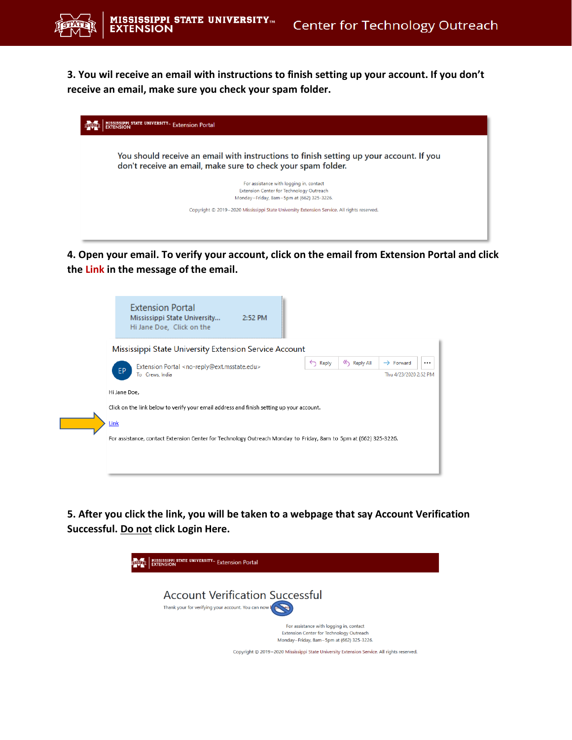**3. You wil receive an email with instructions to finish setting up your account. If you don't receive an email, make sure you check your spam folder.**

| MISSISSIPPI STATE UNIVERSITY <sub>"</sub> Extension Portal<br><b>EXTENSION</b>                                                                          |  |
|---------------------------------------------------------------------------------------------------------------------------------------------------------|--|
| You should receive an email with instructions to finish setting up your account. If you<br>don't receive an email, make sure to check your spam folder. |  |
| For assistance with logging in, contact<br>Extension Center for Technology Outreach<br>Monday-Friday, 8am-5pm at (662) 325-3226.                        |  |
| Copyright @ 2019-2020 Mississippi State University Extension Service. All rights reserved.                                                              |  |
|                                                                                                                                                         |  |

**4. Open your email. To verify your account, click on the email from Extension Portal and click the Link in the message of the email.** 

| <b>Extension Portal</b><br>Mississippi State University<br>2:52 PM<br>Hi Jane Doe, Click on the                  |                    |           |                       |  |  |  |
|------------------------------------------------------------------------------------------------------------------|--------------------|-----------|-----------------------|--|--|--|
| Mississippi State University Extension Service Account                                                           |                    |           |                       |  |  |  |
| Extension Portal <no-reply@ext.msstate.edu></no-reply@ext.msstate.edu>                                           | $\leftarrow$ Reply | Reply All | $\rightarrow$ Forward |  |  |  |
| EP.<br>To Crews, India                                                                                           |                    |           | Thu 4/23/2020 2:52 PM |  |  |  |
| Hi Jane Doe,                                                                                                     |                    |           |                       |  |  |  |
| Click on the link below to verify your email address and finish setting up your account.                         |                    |           |                       |  |  |  |
| Link                                                                                                             |                    |           |                       |  |  |  |
| For assistance, contact Extension Center for Technology Outreach Monday to Friday, 8am to 5pm at (662) 325-3226. |                    |           |                       |  |  |  |
|                                                                                                                  |                    |           |                       |  |  |  |
|                                                                                                                  |                    |           |                       |  |  |  |
|                                                                                                                  |                    |           |                       |  |  |  |

**5. After you click the link, you will be taken to a webpage that say Account Verification Successful. Do not click Login Here.**

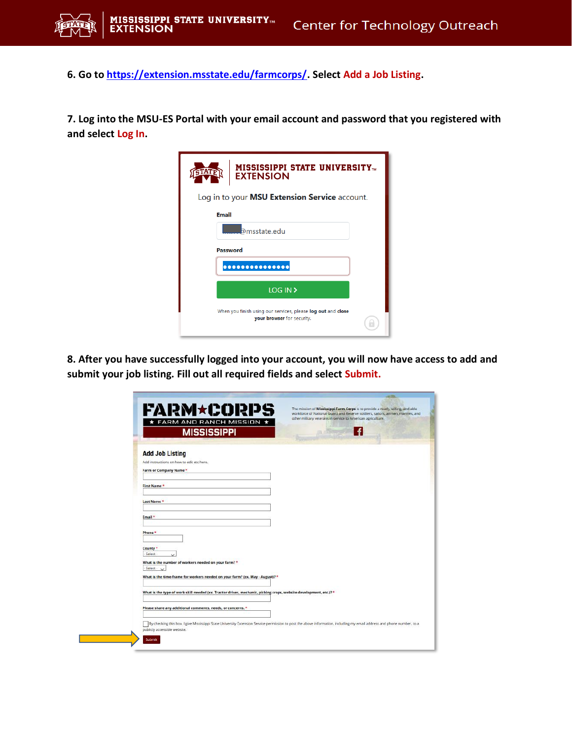

**6. Go to [https://extension.msstate.edu/farmcorps/.](https://extension.msstate.edu/farmcorps/) Select Add a Job Listing.**

**7. Log into the MSU-ES Portal with your email account and password that you registered with and select Log In.**

| <b>MISSISSIPPI STATE UNIVERSITY</b><br><b>STATE</b><br><b>EXTENSION</b>                    |
|--------------------------------------------------------------------------------------------|
| Log in to your MSU Extension Service account.                                              |
| <b>Email</b>                                                                               |
| <b>D</b> msstate.edu                                                                       |
| Password                                                                                   |
|                                                                                            |
| LOG IN >                                                                                   |
| When you finish using our services, please log out and close<br>your browser for security. |

**8. After you have successfully logged into your account, you will now have access to add and submit your job listing. Fill out all required fields and select Submit.** 

| <b>FARM*CORPS</b>                                                                                                 | The mission of Mississippi Farm Corps is to provide a ready, willing, and able<br>workforce of National Guard and Reserve soldiers, sailors, airmen, marines, and<br>other military veterans in service to American agriculture. |
|-------------------------------------------------------------------------------------------------------------------|----------------------------------------------------------------------------------------------------------------------------------------------------------------------------------------------------------------------------------|
| * FARM AND RANCH MISSION *                                                                                        |                                                                                                                                                                                                                                  |
| <b>MISSISSIPPI</b>                                                                                                | ÷                                                                                                                                                                                                                                |
| <b>Add Job Listing</b>                                                                                            |                                                                                                                                                                                                                                  |
| Add instructions on how to edit etc here.                                                                         |                                                                                                                                                                                                                                  |
| Farm or Company Name*                                                                                             |                                                                                                                                                                                                                                  |
| First Name*                                                                                                       |                                                                                                                                                                                                                                  |
| Last Name *                                                                                                       |                                                                                                                                                                                                                                  |
| Email *                                                                                                           |                                                                                                                                                                                                                                  |
| Phone *                                                                                                           |                                                                                                                                                                                                                                  |
|                                                                                                                   |                                                                                                                                                                                                                                  |
| County *<br>Select -                                                                                              |                                                                                                                                                                                                                                  |
| What is the number of workers needed on your farm? *<br>$Seler1 - \vee$                                           |                                                                                                                                                                                                                                  |
| What is the time-frame for workers needed on your farm? (ex. May - August)? *                                     |                                                                                                                                                                                                                                  |
| What is the type of work skill needed (ex. Tractor driver, mechanic, picking crops, website development, etc.)? * |                                                                                                                                                                                                                                  |
| Please share any additional comments, needs, or concerns. *                                                       |                                                                                                                                                                                                                                  |
|                                                                                                                   |                                                                                                                                                                                                                                  |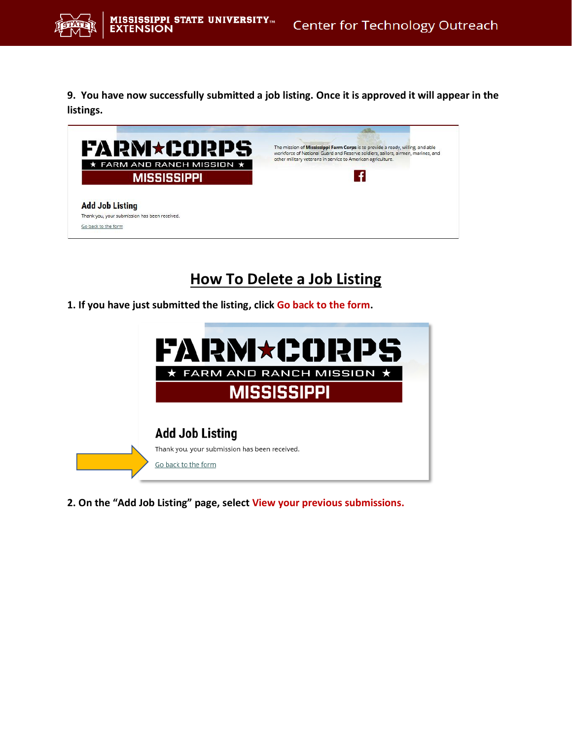

**9. You have now successfully submitted a job listing. Once it is approved it will appear in the listings.**

| <b>FARM*CORPS</b>                             | The mission of Mississippi Farm Corps is to provide a ready, willing, and able<br>workforce of National Guard and Reserve soldiers, sailors, airmen, marines, and<br>other military veterans in service to American agriculture. |  |  |  |
|-----------------------------------------------|----------------------------------------------------------------------------------------------------------------------------------------------------------------------------------------------------------------------------------|--|--|--|
| $\star$ FARM AND RANCH MISSION $\star$        |                                                                                                                                                                                                                                  |  |  |  |
| <b>MISSISSIPPI</b>                            |                                                                                                                                                                                                                                  |  |  |  |
|                                               |                                                                                                                                                                                                                                  |  |  |  |
| <b>Add Job Listing</b>                        |                                                                                                                                                                                                                                  |  |  |  |
|                                               |                                                                                                                                                                                                                                  |  |  |  |
| Thank you, your submission has been received. |                                                                                                                                                                                                                                  |  |  |  |

## **How To Delete a Job Listing**

**1. If you have just submitted the listing, click Go back to the form.**



**2. On the "Add Job Listing" page, select View your previous submissions.**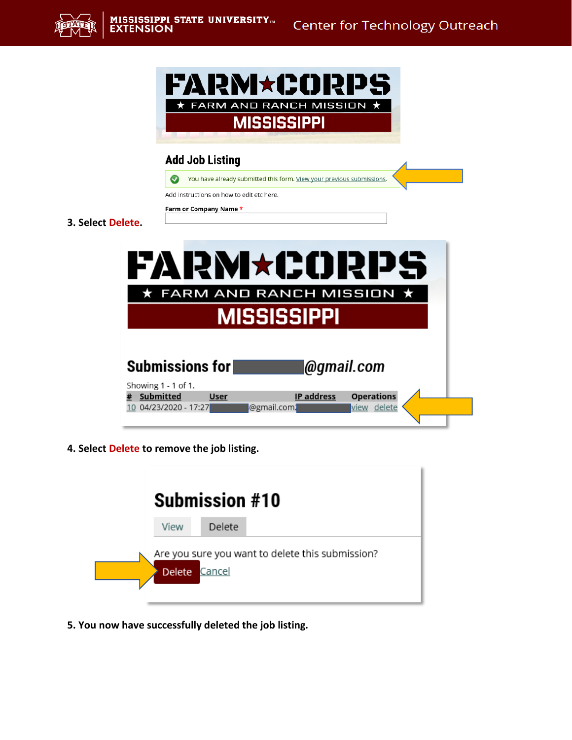



## **Add Job Listing**

You have already submitted this form. <u>View your previous submissions</u>.

Add instructions on how to edit etc here.

Farm or Company Name \*

**3. Select Delete.**

|                                                        |             |                    |            | FARM*CORPS                       |  |
|--------------------------------------------------------|-------------|--------------------|------------|----------------------------------|--|
|                                                        |             |                    |            | ★ FARM AND RANCH MISSION ★       |  |
|                                                        |             | <b>MISSISSIPPI</b> |            |                                  |  |
| Submissions for                                        |             |                    |            | <b>@gmail.com</b>                |  |
| Showing 1 - 1 of 1.<br>Submitted<br>04/23/2020 - 17:27 | <b>User</b> | @gmail.com.        | IP address | <b>Operations</b><br>view delete |  |

**4. Select Delete to remove the job listing.** 



**5. You now have successfully deleted the job listing.**